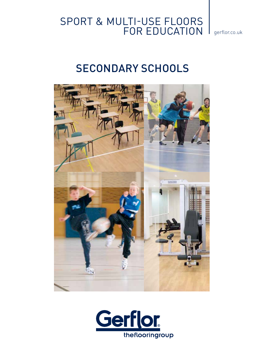

## SECONDARY SCHOOLS



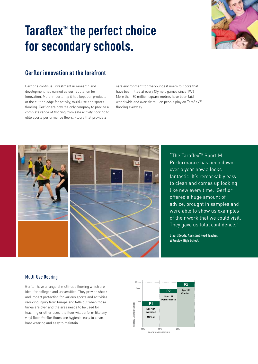# Taraflex<sup>™</sup> the perfect choice **for secondary schools.**



### **Gerflor innovation at the forefront**

Gerflor's continual investment in research and development has earned us our reputation for Innovation. More importantly it has kept our products at the cutting edge for activity, multi-use and sports flooring. Gerflor are now the only company to provide a complete range of flooring from safe activity flooring to elite sports performance floors. Floors that provide a

safe environment for the youngest users to floors that have been fitted at every Olympic games since 1976. More than 60 million square metres have been laid world wide and over six million people play on Taraflex™ flooring everyday.



"The Taraflex<sup>™</sup> Sport M Performance has been down over a year now a looks fantastic. It's remarkably easy to clean and comes up looking like new every time. Gerflor offered a huge amount of advice, brought in samples and were able to show us examples of their work that we could visit. They gave us total confidence."

**Stuart Dodds, Assistant Head Teacher, Wilmslow High School.**

#### **Multi-Use flooring**

Gerflor have a range of multi-use flooring which are ideal for colleges and universities. They provide shock and impact protection for various sports and activities, reducing injury from bumps and falls but when those times are over and the area needs to be used for teaching or other uses, the floor will perform like any vinyl floor. Gerflor floors are hygienic, easy to clean, hard wearing and easy to maintain.

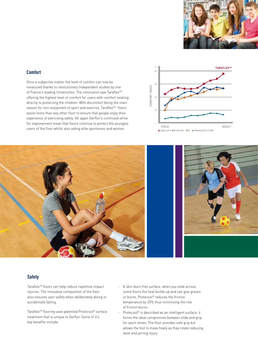

#### **Comfort**

Once a subjective matter the level of comfort can now be measured thanks to revolutionary Independent studies by one of France's leading Universities. The conclusion saw Taraflex™ offering the highest level of comfort for users with comfort relating directly to protecting the children. With discomfort being the main reason for non-enjoyment of sport and exercise, Taraflex™ floors assist more than any other floor to ensure that people enjoy their experience of exercising safely. Yet again Gerflor's continued strive for improvement mean that floors continue to protect the youngest users of the floor whilst also aiding elite sportsmen and women.





#### **Safety**

Taraflex<sup>™</sup> floors can help reduce repetitive impact injuries. The innovative composition of the floor also ensures user safety when deliberately diving or accidentally falling.

Taraflex<sup>™</sup> flooring uses patented Protecsol® surface treatment that is unique to Gerflor. Some of it's key benefits include:

- A skin-burn free surface, when you slide across some floors the heat builds up and can give grazes or burns, Protecsol® reduces the friction temperature by 25% thus minimizing the risk of friction burns.
- Protecsol® is described as an intelligent surface: it forms the ideal compromise between slide and grip for sport shoes. The floor provides safe grip but allows the foot to move freely as they rotate reducing twist and jarring injury.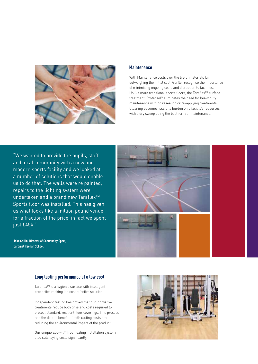

#### **Maintenance**

With Maintenance costs over the life of materials far outweighing the initial cost, Gerflor recognise the importance of minimising ongoing costs and disruption to facilities. Unlike more traditional sports floors, the Taraflex™ surface treatment, Protecsol® eliminates the need for heavy duty maintenance with no resealing or re-applying treatments. Cleaning becomes less of a burden on a facility's resources with a dry sweep being the best form of maintenance.

"We wanted to provide the pupils, staff and local community with a new and modern sports facility and we looked at a number of solutions that would enable us to do that. The walls were re painted, repairs to the lighting system were undertaken and a brand new Taraflex<sup>™</sup> Sports floor was installed. This has given us what looks like a million pound venue for a fraction of the price, in fact we spent just £45k."



**Jake Collin, Director of Community Sport, Cardinal Heenan School**

#### **Long lasting performance at a low cost**

Taraflex<sup>™</sup> is a hygienic surface with intelligent properties making it a cost effective solution.

Independent testing has proved that our innovative treatments reduce both time and costs required to protect standard, resilient floor coverings. This process has the double benefit of both cutting costs and reducing the environmental impact of the product.

Our unique Eco-Fit™ free floating installation system also cuts laying costs significantly.

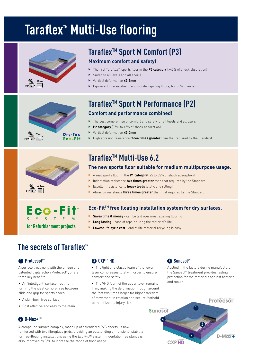# **Taraflex<sup>™</sup> Multi-Use flooring**



## Taraflex<sup>™</sup> Sport M Comfort (P3)

### **Maximum comfort and safety!**

- u The first TaraflexTM sports floor in the **P3 category** (≥45% of shock absorption)
- Suited to all levels and all sports
- u Vertical deformation **≤3.5mm**
- Equivalent to area elastic and wooden sprung floors, but 30% cheaper



### Taraflex<sup>™</sup> Sport M Performance (P2) **Comfort and performance combined!**

- $\blacktriangleright$  The best compromise of comfort and safety for all levels and all users
- **P2 category** (35% to 45% of shock absorption)
- u Vertical deformation **≤3.0mm**
- High abrasion resistance **three times greater** than that required by the Standard



## **Taraflex<sup>™</sup> Multi-Use 6.2**

### **The new sports floor suitable for medium multipurpose usage.**

- ▶ A real sports floor in the P1 category (25 to 35% of shock absorption)
- Indentation resistance **two times greater** than that required by the Standard
- Excellent resistance to **heavy loads** (static and rolling)
- Abrasion resistance **three times greater** than that required by the Standard



### **Eco-FitTM free floating installation system for dry surfaces.**

- **Saves time & money** can be laid over most existing flooring
- **Long lasting** ease of repair during the material's life
- **Lowest life-cycle cost** end of life material recycling is easy

### **The secrets of Taraflex™**

### **Protecsol® 1**

A surface treatment with the unique and patented triple action Protecsol®, offers three key benefits:

• An 'intelligent' surface treatment, forming the ideal compromise between slide and grip for sports shoes

- A skin-burn free surface
- Cost effective and easy to maintain

### **63 CXP™ HD**

• The light and elastic foam of the lower layer compresses totally in order to ensure comfort and safety.

• The VHD foam of the upper layer remains firm, making the deformation trough around the foot two times larger for higher freedom of movement in rotation and secure foothold to minimize the injury risk.

### **Sanosol® 4**

Applied in the factory during manufacture, the Sanosol® treatment provides lasting protection for the materials against bacteria and mould.



### **<sup>2</sup>** D-Max+<sup>™</sup>

A compound surface complex, made up of calendared PVC sheets, is now reinforced with two fibreglass grids, providing an outstanding dimensional stability for free-floating installations using the Eco-Fit™ System. Indentation resistance is also improved by 35% to increase the range of floor usage.